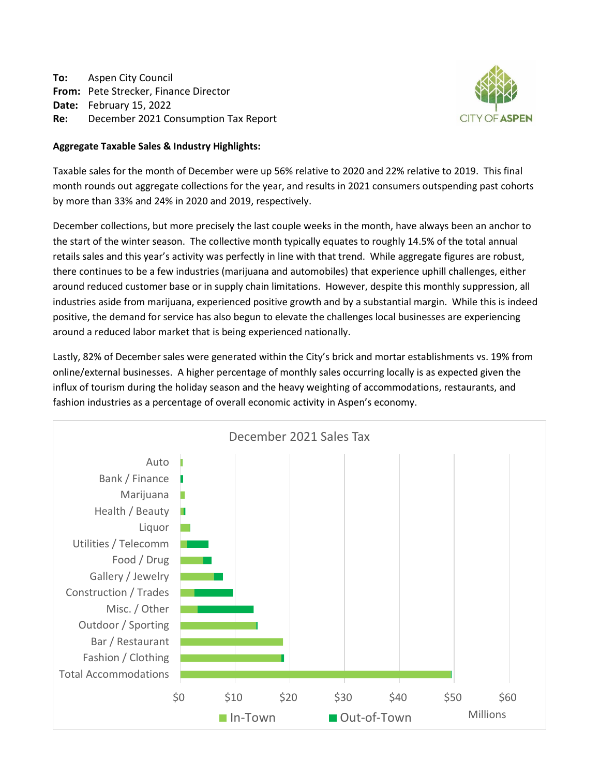**To:** Aspen City Council **From:** Pete Strecker, Finance Director **Date:** February 15, 2022 **Re:** December 2021 Consumption Tax Report



#### **Aggregate Taxable Sales & Industry Highlights:**

Taxable sales for the month of December were up 56% relative to 2020 and 22% relative to 2019. This final month rounds out aggregate collections for the year, and results in 2021 consumers outspending past cohorts by more than 33% and 24% in 2020 and 2019, respectively.

December collections, but more precisely the last couple weeks in the month, have always been an anchor to the start of the winter season. The collective month typically equates to roughly 14.5% of the total annual retails sales and this year's activity was perfectly in line with that trend. While aggregate figures are robust, there continues to be a few industries (marijuana and automobiles) that experience uphill challenges, either around reduced customer base or in supply chain limitations. However, despite this monthly suppression, all industries aside from marijuana, experienced positive growth and by a substantial margin. While this is indeed positive, the demand for service has also begun to elevate the challenges local businesses are experiencing around a reduced labor market that is being experienced nationally.

Lastly, 82% of December sales were generated within the City's brick and mortar establishments vs. 19% from online/external businesses. A higher percentage of monthly sales occurring locally is as expected given the influx of tourism during the holiday season and the heavy weighting of accommodations, restaurants, and fashion industries as a percentage of overall economic activity in Aspen's economy.

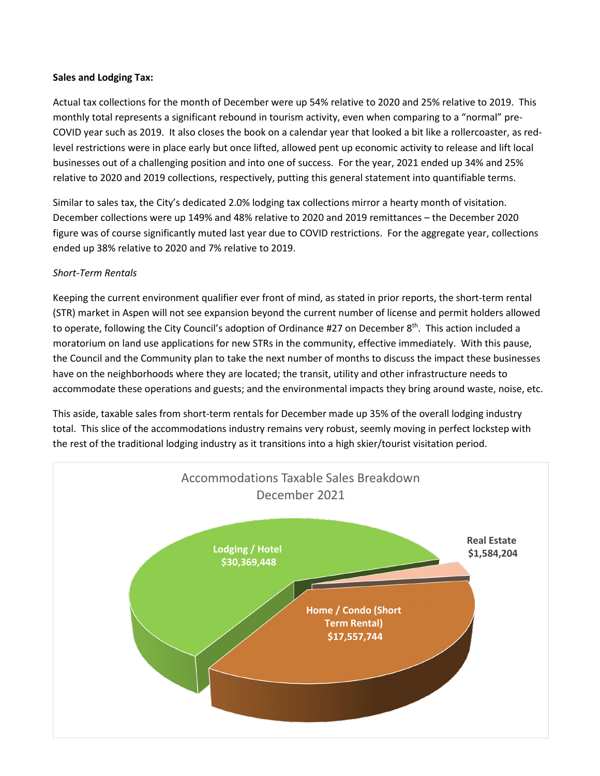#### **Sales and Lodging Tax:**

Actual tax collections for the month of December were up 54% relative to 2020 and 25% relative to 2019. This monthly total represents a significant rebound in tourism activity, even when comparing to a "normal" pre-COVID year such as 2019. It also closes the book on a calendar year that looked a bit like a rollercoaster, as redlevel restrictions were in place early but once lifted, allowed pent up economic activity to release and lift local businesses out of a challenging position and into one of success. For the year, 2021 ended up 34% and 25% relative to 2020 and 2019 collections, respectively, putting this general statement into quantifiable terms.

Similar to sales tax, the City's dedicated 2.0% lodging tax collections mirror a hearty month of visitation. December collections were up 149% and 48% relative to 2020 and 2019 remittances – the December 2020 figure was of course significantly muted last year due to COVID restrictions. For the aggregate year, collections ended up 38% relative to 2020 and 7% relative to 2019.

#### *Short-Term Rentals*

Keeping the current environment qualifier ever front of mind, as stated in prior reports, the short-term rental (STR) market in Aspen will not see expansion beyond the current number of license and permit holders allowed to operate, following the City Council's adoption of Ordinance #27 on December 8<sup>th</sup>. This action included a moratorium on land use applications for new STRs in the community, effective immediately. With this pause, the Council and the Community plan to take the next number of months to discuss the impact these businesses have on the neighborhoods where they are located; the transit, utility and other infrastructure needs to accommodate these operations and guests; and the environmental impacts they bring around waste, noise, etc.

This aside, taxable sales from short-term rentals for December made up 35% of the overall lodging industry total. This slice of the accommodations industry remains very robust, seemly moving in perfect lockstep with the rest of the traditional lodging industry as it transitions into a high skier/tourist visitation period.

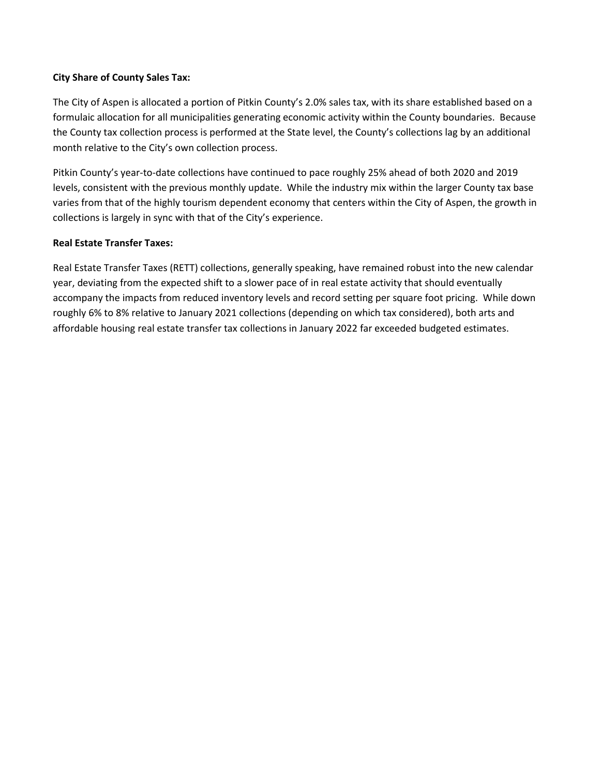#### **City Share of County Sales Tax:**

The City of Aspen is allocated a portion of Pitkin County's 2.0% sales tax, with its share established based on a formulaic allocation for all municipalities generating economic activity within the County boundaries. Because the County tax collection process is performed at the State level, the County's collections lag by an additional month relative to the City's own collection process.

Pitkin County's year-to-date collections have continued to pace roughly 25% ahead of both 2020 and 2019 levels, consistent with the previous monthly update. While the industry mix within the larger County tax base varies from that of the highly tourism dependent economy that centers within the City of Aspen, the growth in collections is largely in sync with that of the City's experience.

#### **Real Estate Transfer Taxes:**

Real Estate Transfer Taxes (RETT) collections, generally speaking, have remained robust into the new calendar year, deviating from the expected shift to a slower pace of in real estate activity that should eventually accompany the impacts from reduced inventory levels and record setting per square foot pricing. While down roughly 6% to 8% relative to January 2021 collections (depending on which tax considered), both arts and affordable housing real estate transfer tax collections in January 2022 far exceeded budgeted estimates.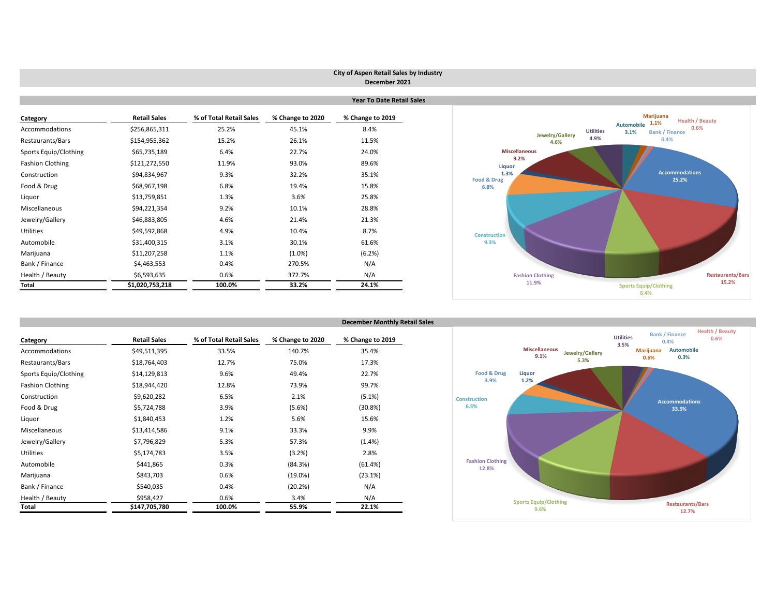## **City of Aspen Retail Sales by Industry December 2021**

|                              |                     |                         | <b>Year To Date Retail Sales</b> |                  |                                |  |  |  |
|------------------------------|---------------------|-------------------------|----------------------------------|------------------|--------------------------------|--|--|--|
| Category                     | <b>Retail Sales</b> | % of Total Retail Sales | % Change to 2020                 | % Change to 2019 |                                |  |  |  |
| Accommodations               | \$256,865,311       | 25.2%                   | 45.1%                            | 8.4%             |                                |  |  |  |
| Restaurants/Bars             | \$154,955,362       | 15.2%                   | 26.1%                            | 11.5%            |                                |  |  |  |
| <b>Sports Equip/Clothing</b> | \$65,735,189        | 6.4%                    | 22.7%                            | 24.0%            | <b>Miscella</b>                |  |  |  |
| <b>Fashion Clothing</b>      | \$121,272,550       | 11.9%                   | 93.0%                            | 89.6%            | 9.2<br><b>Liquor</b>           |  |  |  |
| Construction                 | \$94,834,967        | 9.3%                    | 32.2%                            | 35.1%            | 1.3%                           |  |  |  |
| Food & Drug                  | \$68,967,198        | 6.8%                    | 19.4%                            | 15.8%            | <b>Food &amp; Drug</b><br>6.8% |  |  |  |
| Liquor                       | \$13,759,851        | 1.3%                    | 3.6%                             | 25.8%            |                                |  |  |  |
| Miscellaneous                | \$94,221,354        | 9.2%                    | 10.1%                            | 28.8%            |                                |  |  |  |
| Jewelry/Gallery              | \$46,883,805        | 4.6%                    | 21.4%                            | 21.3%            |                                |  |  |  |
| <b>Utilities</b>             | \$49,592,868        | 4.9%                    | 10.4%                            | 8.7%             | <b>Construction</b>            |  |  |  |
| Automobile                   | \$31,400,315        | 3.1%                    | 30.1%                            | 61.6%            | 9.3%                           |  |  |  |
| Marijuana                    | \$11,207,258        | 1.1%                    | $(1.0\%)$                        | (6.2%)           |                                |  |  |  |
| Bank / Finance               | \$4,463,553         | 0.4%                    | 270.5%                           | N/A              |                                |  |  |  |
| Health / Beauty              | \$6,593,635         | 0.6%                    | 372.7%                           | N/A              | Fas                            |  |  |  |
| <b>Total</b>                 | \$1,020,753,218     | 100.0%                  | 33.2%                            | 24.1%            |                                |  |  |  |

|                         |                     |                         |                  | <b>December Monthly Retail Sales</b> |                                  |       |
|-------------------------|---------------------|-------------------------|------------------|--------------------------------------|----------------------------------|-------|
| Category                | <b>Retail Sales</b> | % of Total Retail Sales | % Change to 2020 | % Change to 2019                     |                                  |       |
| <b>Accommodations</b>   | \$49,511,395        | 33.5%                   | 140.7%           | 35.4%                                |                                  | N     |
| Restaurants/Bars        | \$18,764,403        | 12.7%                   | 75.0%            | 17.3%                                |                                  |       |
| Sports Equip/Clothing   | \$14,129,813        | 9.6%                    | 49.4%            | 22.7%                                | <b>Food &amp; Drug</b>           | Liq   |
| <b>Fashion Clothing</b> | \$18,944,420        |                         | 73.9%            | 99.7%                                | 3.9%                             | 1.    |
| Construction            | \$9,620,282         | 6.5%                    | 2.1%             | (5.1%)                               | <b>Construction</b>              |       |
| Food & Drug             | \$5,724,788         | 3.9%                    | (5.6%)           | $(30.8\%)$                           | 6.5%                             |       |
| Liquor                  | \$1,840,453         | 1.2%                    | 5.6%             | 15.6%                                |                                  |       |
| Miscellaneous           | \$13,414,586        | 9.1%                    | 33.3%            | 9.9%                                 |                                  |       |
| Jewelry/Gallery         | \$7,796,829         | 5.3%                    | 57.3%            | (1.4% )                              |                                  |       |
| <b>Utilities</b>        | \$5,174,783         | 3.5%                    | (3.2%)           | 2.8%                                 |                                  |       |
| Automobile              | \$441,865           | 0.3%                    | (84.3%)          | (61.4%)                              | <b>Fashion Clothing</b><br>12.8% |       |
| Marijuana               | \$843,703           | 0.6%                    | $(19.0\%)$       | (23.1%)                              |                                  |       |
| Bank / Finance          | \$540,035           | 0.4%                    | (20.2%)          | N/A                                  |                                  |       |
| Health / Beauty         | \$958,427           | 0.6%                    | 3.4%             | N/A                                  |                                  | Sport |
| <b>Total</b>            | \$147,705,780       | 100.0%                  | 55.9%            | 22.1%                                |                                  |       |



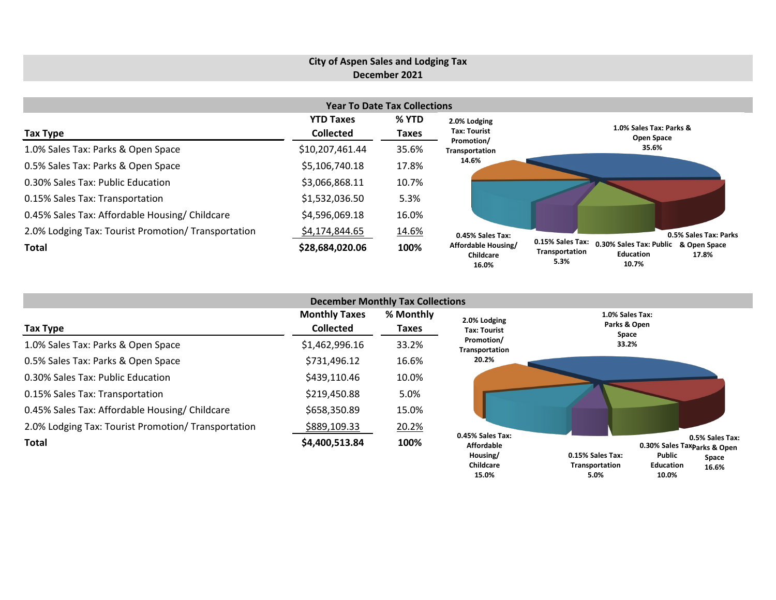#### **City of Aspen Sales and Lodging Tax December 2021 Year To Date Tax Collections Tax Type YTD Taxes Collected % YTD Taxes** 1.0% Sales Tax: Parks & Open Space \$10,207,461.44 35.6% 0.5% Sales Tax: Parks & Open Space \$5,106,740.18 17.8% 0.30% Sales Tax: Public Education  $$3,066,868.11$  10.7% 0.15% Sales Tax: Transportation  $$1,532,036.50$  5.3% 0.45% Sales Tax: Affordable Housing/ Childcare  $$4,596,069.18$  16.0% 2.0% Lodging Tax: Tourist Promotion/ Transportation  $$4,174,844.65$  14.6% **Total \$28,684,020.06 100% 1.0% Sales Tax: Parks & Open Space 35.6% 0.5% Sales Tax: Parks**  0.15% Sales Tax: 0.30% Sales Tax: Public & Open Space **17.8% Education Transportation 0.45% Sales Tax: Affordable Housing/ Childcare 2.0% Lodging Tax: Tourist Promotion/ Transportation 14.6%**

| <b>December Monthly Tax Collections</b>             |                                          |                    |                                                                |                                                                                                                                           |  |  |  |  |  |
|-----------------------------------------------------|------------------------------------------|--------------------|----------------------------------------------------------------|-------------------------------------------------------------------------------------------------------------------------------------------|--|--|--|--|--|
| Tax Type                                            | <b>Monthly Taxes</b><br><b>Collected</b> | % Monthly<br>Taxes | 2.0% Lodging<br>Tax: Tourist                                   | 1.0% Sales Tax:<br>Parks & Open<br>Space                                                                                                  |  |  |  |  |  |
| 1.0% Sales Tax: Parks & Open Space                  | \$1,462,996.16                           | 33.2%              | Promotion/<br>Transportation                                   | 33.2%                                                                                                                                     |  |  |  |  |  |
| 0.5% Sales Tax: Parks & Open Space                  | \$731,496.12                             | 16.6%              | 20.2%                                                          |                                                                                                                                           |  |  |  |  |  |
| 0.30% Sales Tax: Public Education                   | \$439,110.46                             | 10.0%              |                                                                |                                                                                                                                           |  |  |  |  |  |
| 0.15% Sales Tax: Transportation                     | \$219,450.88                             | 5.0%               |                                                                |                                                                                                                                           |  |  |  |  |  |
| 0.45% Sales Tax: Affordable Housing/ Childcare      | \$658,350.89                             | 15.0%              |                                                                |                                                                                                                                           |  |  |  |  |  |
| 2.0% Lodging Tax: Tourist Promotion/ Transportation | \$889,109.33                             | 20.2%              |                                                                |                                                                                                                                           |  |  |  |  |  |
| Total                                               | \$4,400,513.84                           | 100%               | 0.45% Sales Tax:<br><b>Affordable</b><br>Housing/<br>Childcare | 0.5% Sales Tax:<br>0.30% Sales Taxp <sub>arks</sub> & Open<br>Public<br>0.15% Sales Tax:<br>Space<br>Transportation<br>Education<br>16 6% |  |  |  |  |  |

**16.6%**

**Education 10.0%**

**10.7%**

**5.3%**

**Transportation 5.0%**

**15.0%**

**16.0%**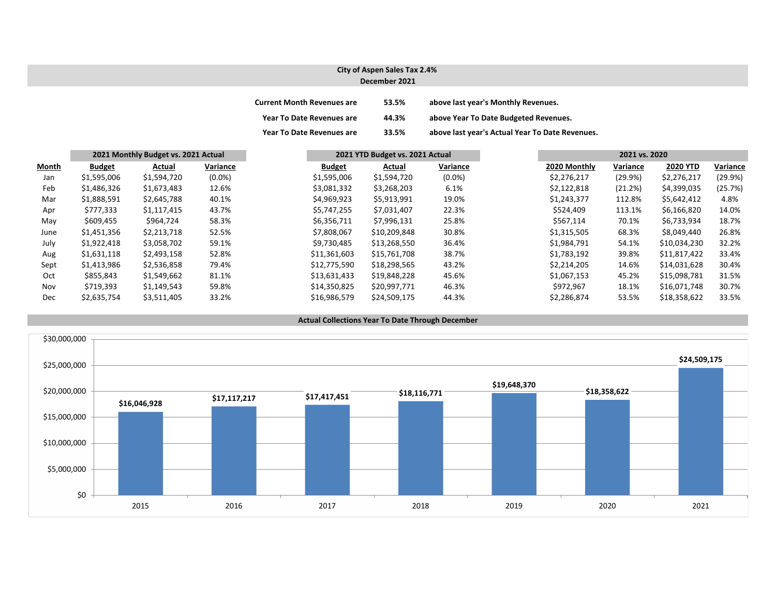## **City of Aspen Sales Tax 2.4% December 2021**

| <b>Current Month Revenues are</b> | 53.5% | above last year's Monthly Revenues.             |
|-----------------------------------|-------|-------------------------------------------------|
| <b>Year To Date Revenues are</b>  | 44.3% | above Year To Date Budgeted Revenues.           |
| <b>Year To Date Revenues are</b>  | 33.5% | above last year's Actual Year To Date Revenues. |

|              |               | 2021 Monthly Budget vs. 2021 Actual |           |               |              | 2021 YTD Budget vs. 2021 Actual |  |              | 2021 vs. 2020 |                 |          |  |
|--------------|---------------|-------------------------------------|-----------|---------------|--------------|---------------------------------|--|--------------|---------------|-----------------|----------|--|
| <b>Month</b> | <b>Budget</b> | Actual                              | Variance  | <b>Budget</b> | Actual       | Variance                        |  | 2020 Monthly | Variance      | <b>2020 YTD</b> | Variance |  |
| Jan          | \$1,595,006   | \$1,594,720                         | $(0.0\%)$ | \$1,595,006   | \$1,594,720  | $(0.0\%)$                       |  | \$2,276,217  | (29.9%)       | \$2,276,217     | (29.9%)  |  |
| Feb          | \$1,486,326   | \$1,673,483                         | 12.6%     | \$3,081,332   | \$3,268,203  | 6.1%                            |  | \$2,122,818  | (21.2%)       | \$4,399,035     | (25.7%)  |  |
| Mar          | \$1,888,591   | \$2,645,788                         | 40.1%     | \$4,969,923   | \$5,913,991  | 19.0%                           |  | \$1,243,377  | 112.8%        | \$5,642,412     | 4.8%     |  |
| Apr          | \$777,333     | \$1,117,415                         | 43.7%     | \$5,747,255   | \$7,031,407  | 22.3%                           |  | \$524,409    | 113.1%        | \$6,166,820     | 14.0%    |  |
| May          | \$609,455     | \$964,724                           | 58.3%     | \$6,356,711   | \$7,996,131  | 25.8%                           |  | \$567,114    | 70.1%         | \$6,733,934     | 18.7%    |  |
| June         | \$1,451,356   | \$2,213,718                         | 52.5%     | \$7,808,067   | \$10,209,848 | 30.8%                           |  | \$1,315,505  | 68.3%         | \$8,049,440     | 26.8%    |  |
| July         | \$1,922,418   | \$3,058,702                         | 59.1%     | \$9,730,485   | \$13,268,550 | 36.4%                           |  | \$1,984,791  | 54.1%         | \$10,034,230    | 32.2%    |  |
| Aug          | \$1,631,118   | \$2,493,158                         | 52.8%     | \$11,361,603  | \$15,761,708 | 38.7%                           |  | \$1,783,192  | 39.8%         | \$11,817,422    | 33.4%    |  |
| Sept         | \$1,413,986   | \$2,536,858                         | 79.4%     | \$12,775,590  | \$18,298,565 | 43.2%                           |  | \$2,214,205  | 14.6%         | \$14,031,628    | 30.4%    |  |
| Oct          | \$855,843     | \$1,549,662                         | 81.1%     | \$13,631,433  | \$19,848,228 | 45.6%                           |  | \$1,067,153  | 45.2%         | \$15,098,781    | 31.5%    |  |
| Nov          | \$719,393     | \$1,149,543                         | 59.8%     | \$14,350,825  | \$20,997,771 | 46.3%                           |  | \$972,967    | 18.1%         | \$16,071,748    | 30.7%    |  |
| Dec          | \$2,635,754   | \$3,511,405                         | 33.2%     | \$16,986,579  | \$24,509,175 | 44.3%                           |  | \$2,286,874  | 53.5%         | \$18,358,622    | 33.5%    |  |

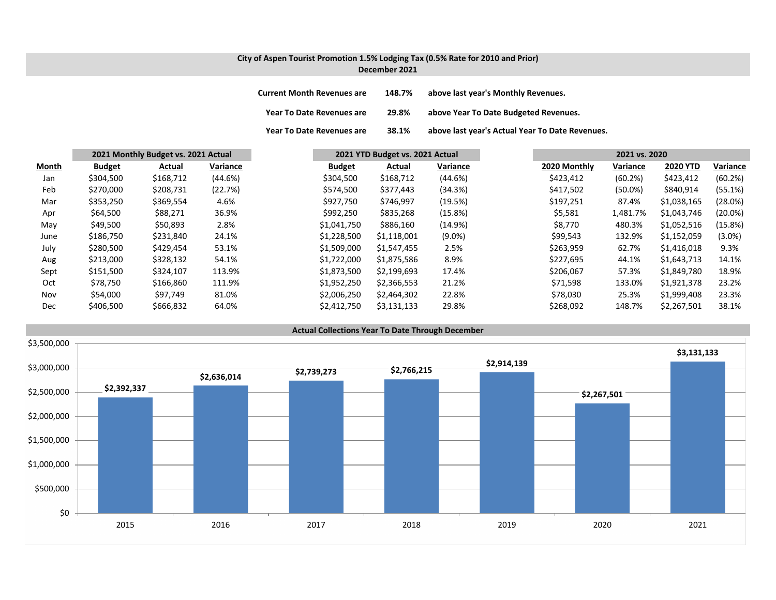# **City of Aspen Tourist Promotion 1.5% Lodging Tax (0.5% Rate for 2010 and Prior)**

**December 2021**

| <b>Current Month Revenues are</b> | 148.7% | above last year's Monthly Revenues.             |
|-----------------------------------|--------|-------------------------------------------------|
| <b>Year To Date Revenues are</b>  | 29.8%  | above Year To Date Budgeted Revenues.           |
| <b>Year To Date Revenues are</b>  | 38.1%  | above last year's Actual Year To Date Revenues. |

|       |               | 2021 Monthly Budget vs. 2021 Actual |          | 2021 YTD Budget vs. 2021 Actual |             | 2021 vs. 2020 |              |            |                 |            |
|-------|---------------|-------------------------------------|----------|---------------------------------|-------------|---------------|--------------|------------|-----------------|------------|
| Month | <b>Budget</b> | <b>Actual</b>                       | Variance | <b>Budget</b>                   | Actual      | Variance      | 2020 Monthly | Variance   | <b>2020 YTD</b> | Variance   |
| Jan   | \$304,500     | \$168,712                           | (44.6%)  | \$304,500                       | \$168,712   | (44.6%)       | \$423,412    | (60.2%)    | \$423,412       | (60.2%)    |
| Feb   | \$270,000     | \$208,731                           | (22.7%)  | \$574,500                       | \$377,443   | (34.3%)       | \$417,502    | $(50.0\%)$ | \$840,914       | (55.1%)    |
| Mar   | \$353,250     | \$369,554                           | 4.6%     | \$927,750                       | \$746,997   | (19.5%)       | \$197,251    | 87.4%      | \$1,038,165     | (28.0%)    |
| Apr   | \$64,500      | \$88,271                            | 36.9%    | \$992,250                       | \$835,268   | (15.8%)       | \$5,581      | 1,481.7%   | \$1,043,746     | $(20.0\%)$ |
| May   | \$49,500      | \$50,893                            | 2.8%     | \$1,041,750                     | \$886,160   | (14.9%)       | \$8,770      | 480.3%     | \$1,052,516     | (15.8%)    |
| June  | \$186,750     | \$231,840                           | 24.1%    | \$1,228,500                     | \$1,118,001 | $(9.0\%)$     | \$99,543     | 132.9%     | \$1,152,059     | $(3.0\%)$  |
| July  | \$280,500     | \$429,454                           | 53.1%    | \$1,509,000                     | \$1,547,455 | 2.5%          | \$263,959    | 62.7%      | \$1,416,018     | 9.3%       |
| Aug   | \$213,000     | \$328,132                           | 54.1%    | \$1,722,000                     | \$1,875,586 | 8.9%          | \$227,695    | 44.1%      | \$1,643,713     | 14.1%      |
| Sept  | \$151,500     | \$324,107                           | 113.9%   | \$1,873,500                     | \$2,199,693 | 17.4%         | \$206,067    | 57.3%      | \$1,849,780     | 18.9%      |
| Oct   | \$78,750      | \$166,860                           | 111.9%   | \$1,952,250                     | \$2,366,553 | 21.2%         | \$71,598     | 133.0%     | \$1,921,378     | 23.2%      |
| Nov   | \$54,000      | \$97,749                            | 81.0%    | \$2,006,250                     | \$2,464,302 | 22.8%         | \$78,030     | 25.3%      | \$1,999,408     | 23.3%      |
| Dec   | \$406,500     | \$666,832                           | 64.0%    | \$2,412,750                     | \$3,131,133 | 29.8%         | \$268,092    | 148.7%     | \$2,267,501     | 38.1%      |

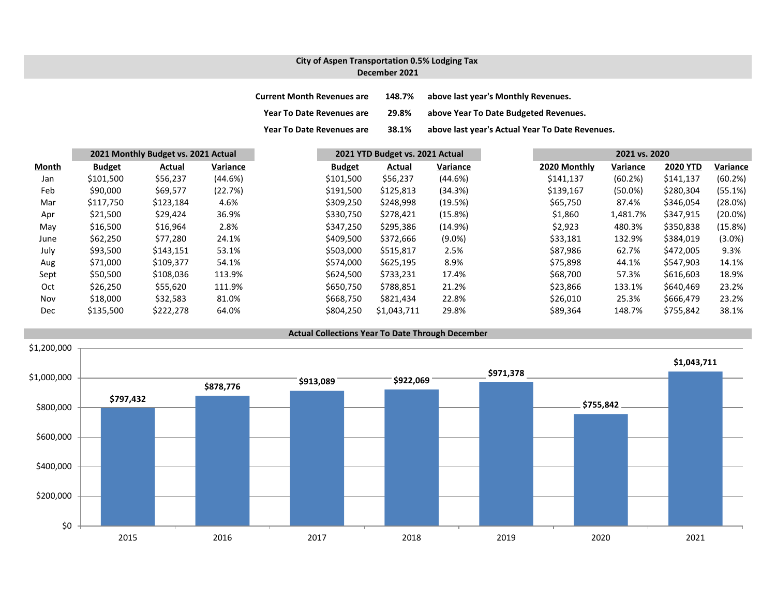### **City of Aspen Transportation 0.5% Lodging Tax December 2021**

| <b>Current Month Revenues are</b> | 148.7% | above last year's Monthly Revenues.             |
|-----------------------------------|--------|-------------------------------------------------|
| Year To Date Revenues are         | 29.8%  | above Year To Date Budgeted Revenues.           |
| <b>Year To Date Revenues are</b>  | 38.1%  | above last year's Actual Year To Date Revenues. |

|              |               | 2021 Monthly Budget vs. 2021 Actual |          |               | 2021 YTD Budget vs. 2021 Actual |            |  | 2021 vs. 2020 |            |                 |            |
|--------------|---------------|-------------------------------------|----------|---------------|---------------------------------|------------|--|---------------|------------|-----------------|------------|
| <b>Month</b> | <b>Budget</b> | <b>Actual</b>                       | Variance | <b>Budget</b> | <b>Actual</b>                   | Variance   |  | 2020 Monthly  | Variance   | <b>2020 YTD</b> | Variance   |
| Jan          | \$101,500     | \$56,237                            | (44.6%)  | \$101,500     | \$56,237                        | (44.6%)    |  | \$141,137     | (60.2%)    | \$141,137       | (60.2%)    |
| Feb          | \$90,000      | \$69,577                            | (22.7%)  | \$191,500     | \$125,813                       | (34.3%)    |  | \$139,167     | $(50.0\%)$ | \$280,304       | (55.1%)    |
| Mar          | \$117,750     | \$123,184                           | 4.6%     | \$309,250     | \$248,998                       | (19.5%)    |  | \$65,750      | 87.4%      | \$346,054       | (28.0%)    |
| Apr          | \$21,500      | \$29,424                            | 36.9%    | \$330,750     | \$278,421                       | (15.8%)    |  | \$1,860       | 1,481.7%   | \$347,915       | $(20.0\%)$ |
| May          | \$16,500      | \$16,964                            | 2.8%     | \$347,250     | \$295,386                       | $(14.9\%)$ |  | \$2,923       | 480.3%     | \$350,838       | (15.8%)    |
| June         | \$62,250      | \$77,280                            | 24.1%    | \$409,500     | \$372,666                       | $(9.0\%)$  |  | \$33,181      | 132.9%     | \$384,019       | $(3.0\%)$  |
| July         | \$93,500      | \$143,151                           | 53.1%    | \$503,000     | \$515,817                       | 2.5%       |  | \$87,986      | 62.7%      | \$472,005       | 9.3%       |
| Aug          | \$71,000      | \$109,377                           | 54.1%    | \$574,000     | \$625,195                       | 8.9%       |  | \$75,898      | 44.1%      | \$547,903       | 14.1%      |
| Sept         | \$50,500      | \$108,036                           | 113.9%   | \$624,500     | \$733,231                       | 17.4%      |  | \$68,700      | 57.3%      | \$616,603       | 18.9%      |
| Oct          | \$26,250      | \$55,620                            | 111.9%   | \$650,750     | \$788,851                       | 21.2%      |  | \$23,866      | 133.1%     | \$640,469       | 23.2%      |
| Nov          | \$18,000      | \$32,583                            | 81.0%    | \$668,750     | \$821,434                       | 22.8%      |  | \$26,010      | 25.3%      | \$666,479       | 23.2%      |
| Dec          | \$135,500     | \$222,278                           | 64.0%    | \$804,250     | \$1,043,711                     | 29.8%      |  | \$89,364      | 148.7%     | \$755,842       | 38.1%      |

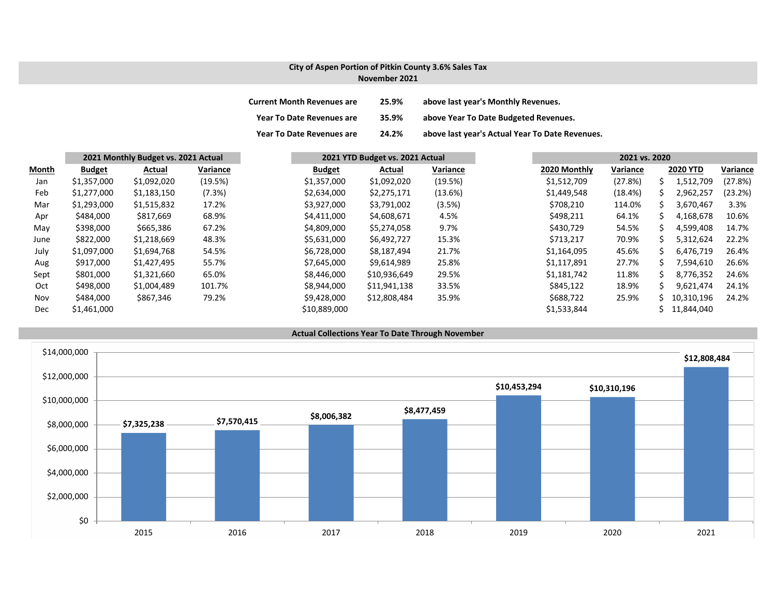## **City of Aspen Portion of Pitkin County 3.6% Sales Tax November 2021**

| <b>Current Month Revenues are</b> | 25.9% | above last year's Monthly Revenues.             |
|-----------------------------------|-------|-------------------------------------------------|
| <b>Year To Date Revenues are</b>  | 35.9% | above Year To Date Budgeted Revenues.           |
| <b>Year To Date Revenues are</b>  | 24.2% | above last year's Actual Year To Date Revenues. |

|              |               | 2021 Monthly Budget vs. 2021 Actual |          | 2021 YTD Budget vs. 2021 Actual |               | 2021 vs. 2020 |              |          |    |                 |          |
|--------------|---------------|-------------------------------------|----------|---------------------------------|---------------|---------------|--------------|----------|----|-----------------|----------|
| <b>Month</b> | <b>Budget</b> | Actual                              | Variance | <b>Budget</b>                   | <b>Actual</b> | Variance      | 2020 Monthly | Variance |    | <b>2020 YTD</b> | Variance |
| Jan          | \$1,357,000   | \$1,092,020                         | (19.5%)  | \$1,357,000                     | \$1,092,020   | (19.5%)       | \$1,512,709  | (27.8%)  |    | 1,512,709       | (27.8%)  |
| Feb          | \$1,277,000   | \$1,183,150                         | (7.3%)   | \$2,634,000                     | \$2,275,171   | (13.6%)       | \$1,449,548  | (18.4%)  |    | 2,962,257       | (23.2%)  |
| Mar          | \$1,293,000   | \$1,515,832                         | 17.2%    | \$3,927,000                     | \$3,791,002   | (3.5%)        | \$708,210    | 114.0%   | S. | 3,670,467       | 3.3%     |
| Apr          | \$484,000     | \$817,669                           | 68.9%    | \$4,411,000                     | \$4,608,671   | 4.5%          | \$498,211    | 64.1%    |    | 4,168,678       | 10.6%    |
| May          | \$398,000     | \$665,386                           | 67.2%    | \$4,809,000                     | \$5,274,058   | 9.7%          | \$430,729    | 54.5%    | S. | 4,599,408       | 14.7%    |
| June         | \$822,000     | \$1,218,669                         | 48.3%    | \$5,631,000                     | \$6,492,727   | 15.3%         | \$713,217    | 70.9%    |    | 5,312,624       | 22.2%    |
| July         | \$1,097,000   | \$1,694,768                         | 54.5%    | \$6,728,000                     | \$8,187,494   | 21.7%         | \$1,164,095  | 45.6%    |    | 6,476,719       | 26.4%    |
| Aug          | \$917,000     | \$1,427,495                         | 55.7%    | \$7,645,000                     | \$9,614,989   | 25.8%         | \$1,117,891  | 27.7%    | ╰  | 7,594,610       | 26.6%    |
| Sept         | \$801,000     | \$1,321,660                         | 65.0%    | \$8,446,000                     | \$10,936,649  | 29.5%         | \$1,181,742  | 11.8%    |    | 8,776,352       | 24.6%    |
| Oct          | \$498,000     | \$1,004,489                         | 101.7%   | \$8,944,000                     | \$11,941,138  | 33.5%         | \$845,122    | 18.9%    |    | 9,621,474       | 24.1%    |
| Nov          | \$484,000     | \$867,346                           | 79.2%    | \$9,428,000                     | \$12,808,484  | 35.9%         | \$688,722    | 25.9%    |    | 10,310,196      | 24.2%    |
| Dec          | \$1,461,000   |                                     |          | \$10,889,000                    |               |               | \$1,533,844  |          |    | 11,844,040      |          |

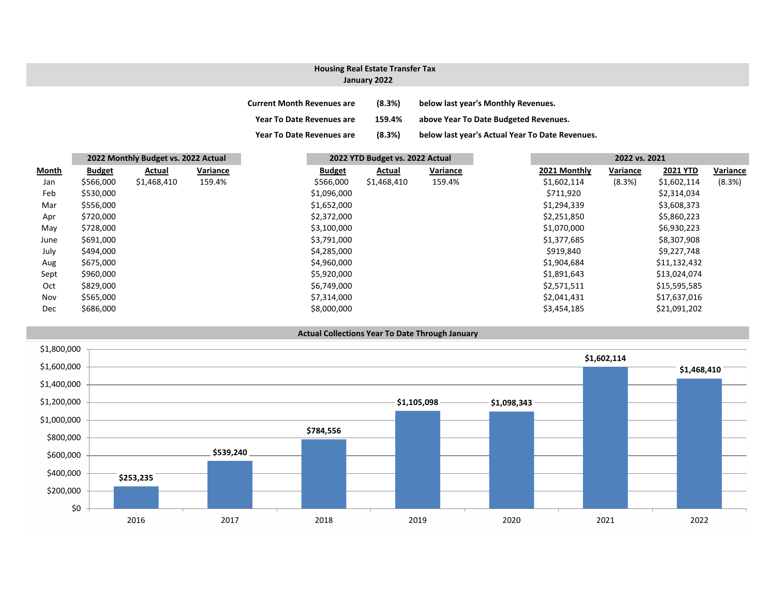## **January 2022 Housing Real Estate Transfer Tax**

| <b>Current Month Revenues are</b> | (8.3%) | below last year's Monthly Revenues. |
|-----------------------------------|--------|-------------------------------------|
|                                   |        |                                     |

**Year To Date Revenues are 159.4% above Year To Date Budgeted Revenues.**

**Year To Date Revenues are (8.3%) below last year's Actual Year To Date Revenues.**

|              | 2022 Monthly Budget vs. 2022 Actual |             |          | 2022 YTD Budget vs. 2022 Actual |             |          |  | 2022 vs. 2021 |          |                 |  |
|--------------|-------------------------------------|-------------|----------|---------------------------------|-------------|----------|--|---------------|----------|-----------------|--|
| <b>Month</b> | <b>Budget</b>                       | Actual      | Variance | <b>Budget</b>                   | Actual      | Variance |  | 2021 Monthly  | Variance | <b>2021 YTD</b> |  |
| Jan          | \$566,000                           | \$1,468,410 | 159.4%   | \$566,000                       | \$1,468,410 | 159.4%   |  | \$1,602,114   | (8.3%)   | \$1,602,114     |  |
| Feb          | \$530,000                           |             |          | \$1,096,000                     |             |          |  | \$711,920     |          | \$2,314,034     |  |
| Mar          | \$556,000                           |             |          | \$1,652,000                     |             |          |  | \$1,294,339   |          | \$3,608,373     |  |
| Apr          | \$720,000                           |             |          | \$2,372,000                     |             |          |  | \$2,251,850   |          | \$5,860,223     |  |
| May          | \$728,000                           |             |          | \$3,100,000                     |             |          |  | \$1,070,000   |          | \$6,930,223     |  |
| June         | \$691,000                           |             |          | \$3,791,000                     |             |          |  | \$1,377,685   |          | \$8,307,908     |  |
| July         | \$494,000                           |             |          | \$4,285,000                     |             |          |  | \$919,840     |          | \$9,227,748     |  |
| Aug          | \$675,000                           |             |          | \$4,960,000                     |             |          |  | \$1,904,684   |          | \$11,132,432    |  |
| Sept         | \$960,000                           |             |          | \$5,920,000                     |             |          |  | \$1,891,643   |          | \$13,024,074    |  |
| Oct          | \$829,000                           |             |          | \$6,749,000                     |             |          |  | \$2,571,511   |          | \$15,595,585    |  |
| Nov          | \$565,000                           |             |          | \$7,314,000                     |             |          |  | \$2,041,431   |          | \$17,637,016    |  |
| Dec          | \$686,000                           |             |          | \$8,000,000                     |             |          |  | \$3,454,185   |          | \$21,091,202    |  |

**Actual Collections Year To Date Through January**